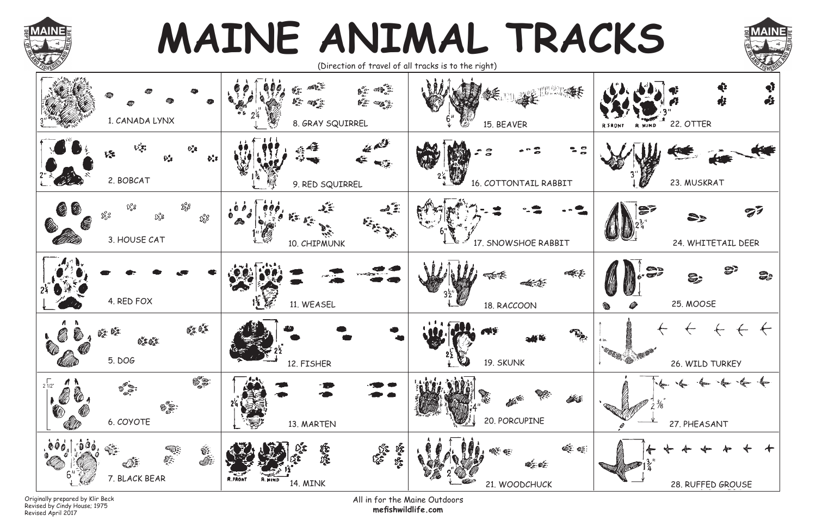All in for the Maine Outdoors **mefi shwildlife.com**

Originally prepared by Klir Beck Revised by Cindy House; 1975 Revised April 2017